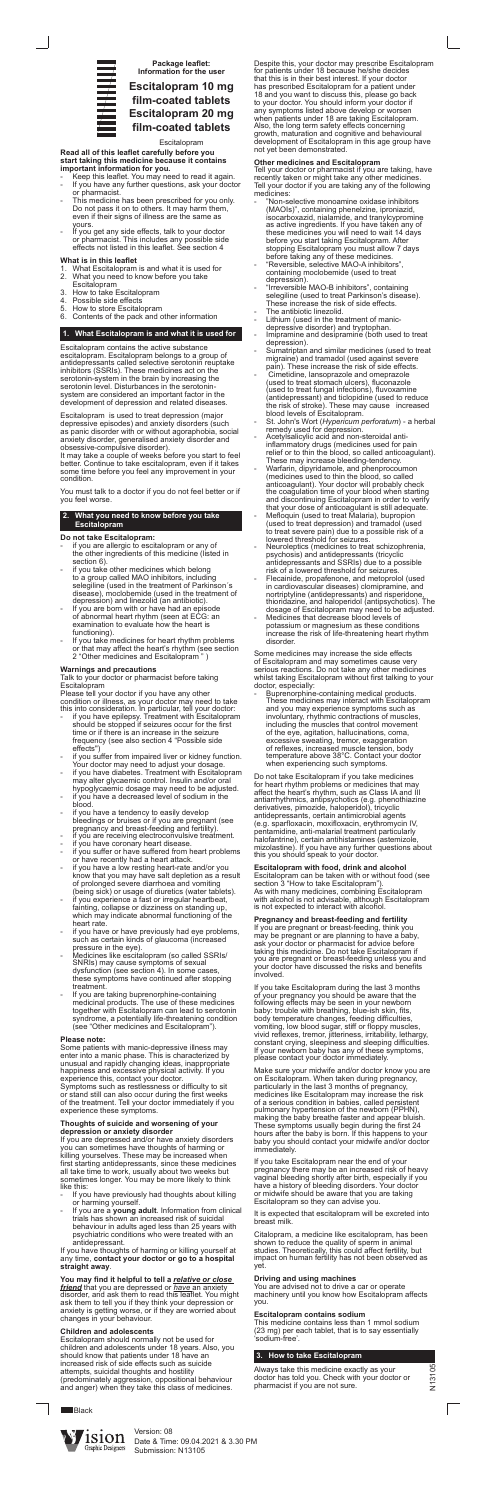

**Package leaflet: Information for the user**

# **Escitalopram 10 mg film-coated tablets Escitalopram 20 mg film-coated tablets**

Escitalopram



#### **Read all of this leaflet carefully before you start taking this medicine because it contains important information for you.**

- Keep this leaflet. You may need to read it again. If you have any further questions, ask your doctor or pharmacist.
- This medicine has been prescribed for you only. Do not pass it on to others. It may harm them, even if their signs of illness are the same as yours.
- If you get any side effects, talk to your doctor or pharmacist. This includes any possible side effects not listed in this leaflet. See section 4

## **What is in this leaflet**

- 1. What Escitalopram is and what it is used for 2. What you need to know before you take
- Escitalopram
- 3. How to take Escitalopram
- 4. Possible side effects<br>5. How to store Escital
- 5. How to store Escitalopram 6. Contents of the pack and other information

## **1. What Escitalopram is and what it is used for**

Escitalopram contains the active substance escitalopram. Escitalopram belongs to a group of antidepressants called selective serotonin reuptake inhibitors (SSRIs). These medicines act on the serotonin-system in the brain by increasing the serotonin level. Disturbances in the serotoninsystem are considered an important factor in the development of depression and related diseases.

- if you are allergic to escitalopram or any of the other ingredients of this medicine (listed in section 6).
- if you take other medicines which belong to a group called MAO inhibitors, including selegiline (used in the treatment of Parkinson´s disease), moclobemide (used in the treatment of depression) and linezolid (an antibiotic).
- If you are born with or have had an episode of abnormal heart rhythm (seen at ECG: an examination to evaluate how the heart is functioning).
- If you take medicines for heart rhythm problems or that may affect the heart's rhythm (see section 2 "Other medicines and Escitalopram " )

Escitalopram is used to treat depression (major depressive episodes) and anxiety disorders (such as panic disorder with or without agoraphobia, social anxiety disorder, generalised anxiety disorder and obsessive-compulsive disorder).

It may take a couple of weeks before you start to feel better. Continue to take escitalopram, even if it takes some time before you feel any improvement in your condition.

You must talk to a doctor if you do not feel better or if you feel worse.

## **2. What you need to know before you take Escitalopram**

## **Do not take Escitalopram:**

## **Warnings and precautions**

Talk to your doctor or pharmacist before taking Escitalopram

Please tell your doctor if you have any other condition or illness, as your doctor may need to take

- If you have previously had thoughts about killing or harming yourself.
- If you are a **young adult**. Information from clinical trials has shown an increased risk of suicidal behaviour in adults aged less than 25 years with psychiatric conditions who were treated with an antidepressant.
- this into consideration. In particular, tell your doctor: - if you have epilepsy. Treatment with Escitalopram should be stopped if seizures occur for the first time or if there is an increase in the seizure frequency (see also section 4 "Possible side effects")
- if you suffer from impaired liver or kidney function. Your doctor may need to adjust your dosage. if you have diabetes. Treatment with Escitalopram may alter glycaemic control. Insulin and/or oral hypoglycaemic dosage may need to be adjusted. if you have a decreased level of sodium in the blood. if you have a tendency to easily develop bleedings or bruises or if you are pregnant (see pregnancy and breast-feeding and fertility). if you are receiving electroconvulsive treatment. if you have coronary heart disease. if you suffer or have suffered from heart problems or have recently had a heart attack. if you have a low resting heart-rate and/or you know that you may have salt depletion as a result of prolonged severe diarrhoea and vomiting (being sick) or usage of diuretics (water tablets). if you experience a fast or irregular heartbeat, fainting, collapse or dizziness on standing up, which may indicate abnormal functioning of the heart rate. if you have or have previously had eye problems, such as certain kinds of glaucoma (increased pressure in the eye). Medicines like escitalopram (so called SSRIs/ SNRIs) may cause symptoms of sexual dysfunction (see section 4). In some cases, these symptoms have continued after stopping treatment. If you are taking buprenorphine-containing medicinal products. The use of these medicines together with Escitalopram can lead to serotonin syndrome, a potentially life-threatening condition (see "Other medicines and Escitalopram").

#### **Please note:**

Some patients with manic-depressive illness may enter into a manic phase. This is characterized by unusual and rapidly changing ideas, inappropriate happiness and excessive physical activity. If you experience this, contact your doctor.

- "Non-selective monoamine oxidase inhibitors (MAOIs)", containing phenelzine, iproniazid, isocarboxazid, nialamide, and tranylcypromine as active ingredients. If you have taken any of these medicines you will need to wait 14 days before you start taking Escitalopram. After stopping Escitalopram you must allow 7 days before taking any of these medicines.
- "Reversible, selective MAO-A inhibitors", containing moclobemide (used to treat depression).
- "Irreversible MAO-B inhibitors", containing selegiline (used to treat Parkinson's disease). These increase the risk of side effects.
- The antibiotic linezolid.
- Lithium (used in the treatment of manicdepressive disorder) and tryptophan.
- Imipramine and desipramine (both used to treat depression).
- Sumatriptan and similar medicines (used to treat migraine) and tramadol (used against severe pain). These increase the risk of side effects.
- Cimetidine, lansoprazole and omeprazole (used to treat stomach ulcers), fluconazole (used to treat fungal infections), fluvoxamine (antidepressant) and ticlopidine (used to reduce the risk of stroke). These may cause increased blood levels of Escitalopram.
- St. John's Wort (*Hypericum perforatum*) a herbal remedy used for depression.
- Acetylsalicylic acid and non-steroidal antiinflammatory drugs (medicines used for pain relief or to thin the blood, so called anticoagulant). These may increase bleeding-tendency.
- Warfarin, dipyridamole, and phenprocoumon (medicines used to thin the blood, so called anticoagulant). Your doctor will probably check the coagulation time of your blood when starting and discontinuing Escitalopram in order to verify that your dose of anticoagulant is still adequate.
- Mefloquin (used to treat Malaria), bupropion (used to treat depression) and tramadol (used to treat severe pain) due to a possible risk of a lowered threshold for seizures.
- Neuroleptics (medicines to treat schizophrenia, psychosis) and antidepressants (tricyclic antidepressants and SSRIs) due to a possible risk of a lowered threshold for seizures.
- Flecainide, propafenone, and metoprolol (used in cardiovascular diseases) clomipramine, and nortriptyline (antidepressants) and risperidone, thioridazine, and haloperidol (antipsychotics). The dosage of Escitalopram may need to be adjusted.
- Medicines that decrease blood levels of potassium or magnesium as these conditions increase the risk of life-threatening heart rhythm disorder.

Symptoms such as restlessness or difficulty to sit or stand still can also occur during the first weeks of the treatment. Tell your doctor immediately if you experience these symptoms.

#### **Thoughts of suicide and worsening of your depression or anxiety disorder**

Buprenorphine-containing medical products. These medicines may interact with Escitalopram and you may experience symptoms such as involuntary, rhythmic contractions of muscles, including the muscles that control movement of the eye, agitation, hallucinations, coma, excessive sweating, tremor, exaggeration of reflexes, increased muscle tension, body temperature above 38°C. Contact your doctor when experiencing such symptoms.

If you are depressed and/or have anxiety disorders you can sometimes have thoughts of harming or killing yourselves. These may be increased when first starting antidepressants, since these medicines all take time to work, usually about two weeks but sometimes longer. You may be more likely to think like this:

If you have thoughts of harming or killing yourself at any time, **contact your doctor or go to a hospital straight away**.

#### **You may find it helpful to tell a** *relative or close friend* that you are depressed or *have* an anxiety disorder, and ask them to read this leaflet. You might ask them to tell you if they think your depression or anxiety is getting worse, or if they are worried about changes in your behaviour.

#### **Children and adolescents**

Escitalopram should normally not be used for children and adolescents under 18 years. Also, you should know that patients under 18 have an increased risk of side effects such as suicide attempts, suicidal thoughts and hostility (predominately aggression, oppositional behaviour and anger) when they take this class of medicines.

**Black** 

Despite this, your doctor may prescribe Escitalopram for patients under 18 because he/she decides that this is in their best interest. If your doctor has prescribed Escitalopram for a patient under 18 and you want to discuss this, please go back to your doctor. You should inform your doctor if any symptoms listed above develop or worsen when patients under 18 are taking Escitalopram. Also, the long term safety effects concerning growth, maturation and cognitive and behavioural development of Escitalopram in this age group have not yet been demonstrated.

## **Other medicines and Escitalopram**

Tell your doctor or pharmacist if you are taking, have recently taken or might take any other medicines. Tell your doctor if you are taking any of the following medicines:

Some medicines may increase the side effects of Escitalopram and may sometimes cause very serious reactions. Do not take any other medicines whilst taking Escitalopram without first talking to your doctor, especially:

Do not take Escitalopram if you take medicines for heart rhythm problems or medicines that may affect the heart's rhythm, such as Class IA and III antiarrhythmics, antipsychotics (e.g. phenothiazine derivatives, pimozide, haloperidol), tricyclic antidepressants, certain antimicrobial agents (e.g. sparfloxacin, moxifloxacin, erythromycin IV, pentamidine, anti-malarial treatment particularly halofantrine), certain antihistamines (astemizole, mizolastine). If you have any further questions about this you should speak to your doctor.

**Escitalopram with food, drink and alcohol** Escitalopram can be taken with or without food (see section 3 "How to take Escitalopram"). As with many medicines, combining Escitalopram with alcohol is not advisable, although Escitalopram is not expected to interact with alcohol.

**Pregnancy and breast-feeding and fertility** If you are pregnant or breast-feeding, think you may be pregnant or are planning to have a baby, ask your doctor or pharmacist for advice before taking this medicine. Do not take Escitalopram if you are pregnant or breast-feeding unless you and your doctor have discussed the risks and benefits involved.

If you take Escitalopram during the last 3 months of your pregnancy you should be aware that the following effects may be seen in your newborn baby: trouble with breathing, blue-ish skin, fits, body temperature changes, feeding difficulties, vomiting, low blood sugar, stiff or floppy muscles, vivid reflexes, tremor, jitteriness, irritability, lethargy, constant crying, sleepiness and sleeping difficulties. If your newborn baby has any of these symptoms, please contact your doctor immediately.

Make sure your midwife and/or doctor know you are on Escitalopram. When taken during pregnancy, particularly in the last 3 months of pregnancy, medicines like Escitalopram may increase the risk of a serious condition in babies, called persistent pulmonary hypertension of the newborn (PPHN), making the baby breathe faster and appear bluish. These symptoms usually begin during the first 24 hours after the baby is born. If this happens to your baby you should contact your midwife and/or doctor immediately.

If you take Escitalopram near the end of your pregnancy there may be an increased risk of heavy vaginal bleeding shortly after birth, especially if you have a history of bleeding disorders. Your doctor or midwife should be aware that you are taking Escitalopram so they can advise you.

It is expected that escitalopram will be excreted into breast milk.

Citalopram, a medicine like escitalopram, has been shown to reduce the quality of sperm in animal studies. Theoretically, this could affect fertility, but impact on human fertility has not been observed as yet.

## **Driving and using machines**

You are advised not to drive a car or operate machinery until you know how Escitalopram affects you.

## **Escitalopram contains sodium**

This medicine contains less than 1 mmol sodium (23 mg) per each tablet, that is to say essentially 'sodium-free'.

## **3. How to take Escitalopram**

Always take this medicine exactly as your doctor has told you. Check with your doctor or pharmacist if you are not sure.

Version: 08 Date & Time: 09.04.2021 & 3.30 PM Submission: N13105